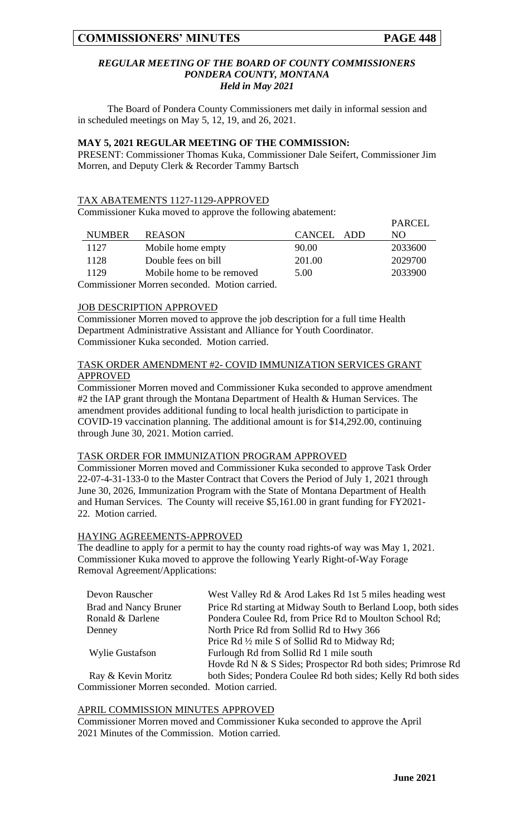$\mathbf{P}$ 

#### *REGULAR MEETING OF THE BOARD OF COUNTY COMMISSIONERS PONDERA COUNTY, MONTANA Held in May 2021*

The Board of Pondera County Commissioners met daily in informal session and in scheduled meetings on May 5, 12, 19, and 26, 2021.

# **MAY 5, 2021 REGULAR MEETING OF THE COMMISSION:**

PRESENT: Commissioner Thomas Kuka, Commissioner Dale Seifert, Commissioner Jim Morren, and Deputy Clerk & Recorder Tammy Bartsch

#### TAX ABATEMENTS 1127-1129-APPROVED

Commissioner Kuka moved to approve the following abatement:

|                                               |                           |            | PARCEL  |  |
|-----------------------------------------------|---------------------------|------------|---------|--|
| <b>NUMBER</b>                                 | <b>REASON</b>             | CANCEL ADD | NO.     |  |
| 1127                                          | Mobile home empty         | 90.00      | 2033600 |  |
| 1128                                          | Double fees on bill       | 201.00     | 2029700 |  |
| 1129                                          | Mobile home to be removed | 5.00       | 2033900 |  |
| Commissioner Morren seconded. Motion carried. |                           |            |         |  |

# **JOB DESCRIPTION APPROVED**

Commissioner Morren moved to approve the job description for a full time Health Department Administrative Assistant and Alliance for Youth Coordinator. Commissioner Kuka seconded. Motion carried.

# TASK ORDER AMENDMENT #2- COVID IMMUNIZATION SERVICES GRANT APPROVED

Commissioner Morren moved and Commissioner Kuka seconded to approve amendment #2 the IAP grant through the Montana Department of Health & Human Services. The amendment provides additional funding to local health jurisdiction to participate in COVID-19 vaccination planning. The additional amount is for \$14,292.00, continuing through June 30, 2021. Motion carried.

#### TASK ORDER FOR IMMUNIZATION PROGRAM APPROVED

Commissioner Morren moved and Commissioner Kuka seconded to approve Task Order 22-07-4-31-133-0 to the Master Contract that Covers the Period of July 1, 2021 through June 30, 2026, Immunization Program with the State of Montana Department of Health and Human Services. The County will receive \$5,161.00 in grant funding for FY2021- 22. Motion carried.

#### HAYING AGREEMENTS-APPROVED

The deadline to apply for a permit to hay the county road rights-of way was May 1, 2021. Commissioner Kuka moved to approve the following Yearly Right-of-Way Forage Removal Agreement/Applications:

| Devon Rauscher                                | West Valley Rd & Arod Lakes Rd 1st 5 miles heading west       |  |
|-----------------------------------------------|---------------------------------------------------------------|--|
| <b>Brad and Nancy Bruner</b>                  | Price Rd starting at Midway South to Berland Loop, both sides |  |
| Ronald & Darlene                              | Pondera Coulee Rd, from Price Rd to Moulton School Rd;        |  |
| Denney                                        | North Price Rd from Sollid Rd to Hwy 366                      |  |
|                                               | Price Rd 1/2 mile S of Sollid Rd to Midway Rd;                |  |
| Wylie Gustafson                               | Furlough Rd from Sollid Rd 1 mile south                       |  |
|                                               | Hovde Rd N & S Sides; Prospector Rd both sides; Primrose Rd   |  |
| Ray & Kevin Moritz                            | both Sides; Pondera Coulee Rd both sides; Kelly Rd both sides |  |
| Commissioner Morren seconded. Motion carried. |                                                               |  |

#### APRIL COMMISSION MINUTES APPROVED

Commissioner Morren moved and Commissioner Kuka seconded to approve the April 2021 Minutes of the Commission. Motion carried.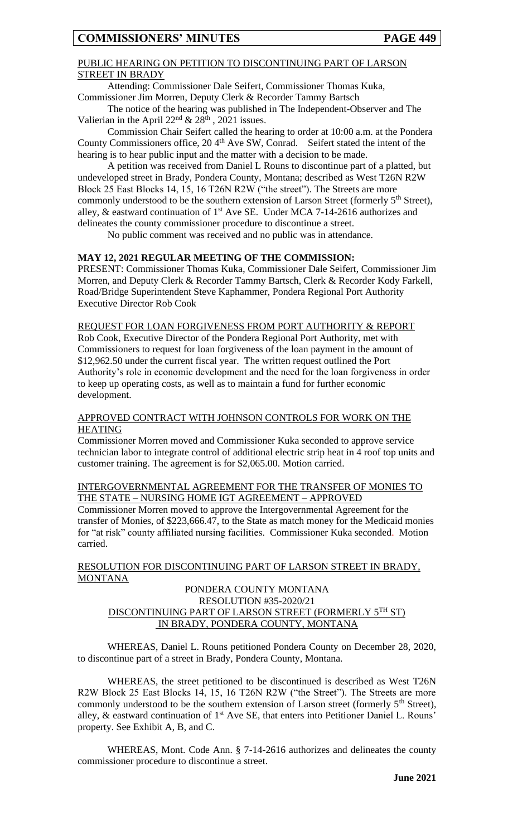# PUBLIC HEARING ON PETITION TO DISCONTINUING PART OF LARSON STREET IN BRADY

Attending: Commissioner Dale Seifert, Commissioner Thomas Kuka, Commissioner Jim Morren, Deputy Clerk & Recorder Tammy Bartsch

# The notice of the hearing was published in The Independent-Observer and The Valierian in the April  $22<sup>nd</sup> \& 28<sup>th</sup>$ , 2021 issues.

Commission Chair Seifert called the hearing to order at 10:00 a.m. at the Pondera County Commissioners office, 20 4<sup>th</sup> Ave SW, Conrad. Seifert stated the intent of the hearing is to hear public input and the matter with a decision to be made.

A petition was received from Daniel L Rouns to discontinue part of a platted, but undeveloped street in Brady, Pondera County, Montana; described as West T26N R2W Block 25 East Blocks 14, 15, 16 T26N R2W ("the street"). The Streets are more commonly understood to be the southern extension of Larson Street (formerly 5<sup>th</sup> Street), alley, & eastward continuation of  $1<sup>st</sup>$  Ave SE. Under MCA 7-14-2616 authorizes and delineates the county commissioner procedure to discontinue a street.

No public comment was received and no public was in attendance.

# **MAY 12, 2021 REGULAR MEETING OF THE COMMISSION:**

PRESENT: Commissioner Thomas Kuka, Commissioner Dale Seifert, Commissioner Jim Morren, and Deputy Clerk & Recorder Tammy Bartsch, Clerk & Recorder Kody Farkell, Road/Bridge Superintendent Steve Kaphammer, Pondera Regional Port Authority Executive Director Rob Cook

# REQUEST FOR LOAN FORGIVENESS FROM PORT AUTHORITY & REPORT

Rob Cook, Executive Director of the Pondera Regional Port Authority, met with Commissioners to request for loan forgiveness of the loan payment in the amount of \$12,962.50 under the current fiscal year. The written request outlined the Port Authority's role in economic development and the need for the loan forgiveness in order to keep up operating costs, as well as to maintain a fund for further economic development.

# APPROVED CONTRACT WITH JOHNSON CONTROLS FOR WORK ON THE HEATING

Commissioner Morren moved and Commissioner Kuka seconded to approve service technician labor to integrate control of additional electric strip heat in 4 roof top units and customer training. The agreement is for \$2,065.00. Motion carried.

## INTERGOVERNMENTAL AGREEMENT FOR THE TRANSFER OF MONIES TO THE STATE – NURSING HOME IGT AGREEMENT – APPROVED

Commissioner Morren moved to approve the Intergovernmental Agreement for the transfer of Monies, of \$223,666.47, to the State as match money for the Medicaid monies for "at risk" county affiliated nursing facilities. Commissioner Kuka seconded. Motion carried.

# RESOLUTION FOR DISCONTINUING PART OF LARSON STREET IN BRADY, **MONTANA**

# PONDERA COUNTY MONTANA RESOLUTION #35-2020/21 DISCONTINUING PART OF LARSON STREET (FORMERLY 5TH ST) IN BRADY, PONDERA COUNTY, MONTANA

WHEREAS, Daniel L. Rouns petitioned Pondera County on December 28, 2020, to discontinue part of a street in Brady, Pondera County, Montana.

WHEREAS, the street petitioned to be discontinued is described as West T26N R2W Block 25 East Blocks 14, 15, 16 T26N R2W ("the Street"). The Streets are more commonly understood to be the southern extension of Larson street (formerly  $5<sup>th</sup>$  Street), alley,  $\&$  eastward continuation of  $1<sup>st</sup>$  Ave SE, that enters into Petitioner Daniel L. Rouns' property. See Exhibit A, B, and C.

WHEREAS, Mont. Code Ann. § 7-14-2616 authorizes and delineates the county commissioner procedure to discontinue a street.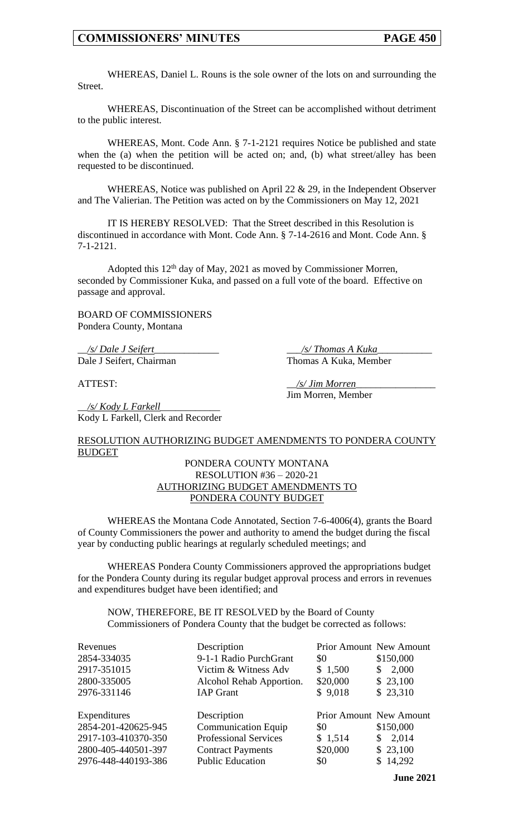WHEREAS, Daniel L. Rouns is the sole owner of the lots on and surrounding the Street.

WHEREAS, Discontinuation of the Street can be accomplished without detriment to the public interest.

WHEREAS, Mont. Code Ann. § 7-1-2121 requires Notice be published and state when the (a) when the petition will be acted on; and, (b) what street/alley has been requested to be discontinued.

WHEREAS, Notice was published on April 22  $& 29$ , in the Independent Observer and The Valierian. The Petition was acted on by the Commissioners on May 12, 2021

IT IS HEREBY RESOLVED: That the Street described in this Resolution is discontinued in accordance with Mont. Code Ann. § 7-14-2616 and Mont. Code Ann. § 7-1-2121.

Adopted this  $12<sup>th</sup>$  day of May, 2021 as moved by Commissioner Morren, seconded by Commissioner Kuka, and passed on a full vote of the board. Effective on passage and approval.

BOARD OF COMMISSIONERS Pondera County, Montana

\_\_*/s/ Dale J Seifert*\_\_\_\_\_\_\_\_\_\_\_\_\_ \_\_\_*/s/ Thomas A Kuka*\_\_\_\_\_\_\_\_\_\_\_ Dale J Seifert, Chairman Thomas A Kuka, Member

ATTEST: \_\_*/s/ Jim Morren*\_\_\_\_\_\_\_\_\_\_\_\_\_\_\_\_ Jim Morren, Member

\_\_*/s/ Kody L Farkell*\_\_\_\_\_\_\_\_\_\_\_\_ Kody L Farkell, Clerk and Recorder

#### RESOLUTION AUTHORIZING BUDGET AMENDMENTS TO PONDERA COUNTY BUDGET

# PONDERA COUNTY MONTANA RESOLUTION #36 – 2020-21 AUTHORIZING BUDGET AMENDMENTS TO PONDERA COUNTY BUDGET

WHEREAS the Montana Code Annotated, Section 7-6-4006(4), grants the Board of County Commissioners the power and authority to amend the budget during the fiscal year by conducting public hearings at regularly scheduled meetings; and

WHEREAS Pondera County Commissioners approved the appropriations budget for the Pondera County during its regular budget approval process and errors in revenues and expenditures budget have been identified; and

NOW, THEREFORE, BE IT RESOLVED by the Board of County Commissioners of Pondera County that the budget be corrected as follows:

| Revenues            | Description                  |                                | <b>Prior Amount New Amount</b> |
|---------------------|------------------------------|--------------------------------|--------------------------------|
| 2854-334035         | 9-1-1 Radio PurchGrant       | \$0                            | \$150,000                      |
| 2917-351015         | Victim & Witness Adv         | \$1,500                        | 2,000<br>\$                    |
| 2800-335005         | Alcohol Rehab Apportion.     | \$20,000                       | \$23,100                       |
| 2976-331146         | <b>IAP</b> Grant             | \$9,018                        | \$23,310                       |
| Expenditures        | Description                  | <b>Prior Amount New Amount</b> |                                |
| 2854-201-420625-945 | <b>Communication Equip</b>   | \$0                            | \$150,000                      |
| 2917-103-410370-350 | <b>Professional Services</b> | \$1,514                        | 2,014<br>\$                    |
| 2800-405-440501-397 | <b>Contract Payments</b>     | \$20,000                       | \$23,100                       |
| 2976-448-440193-386 |                              | \$0                            | \$14,292                       |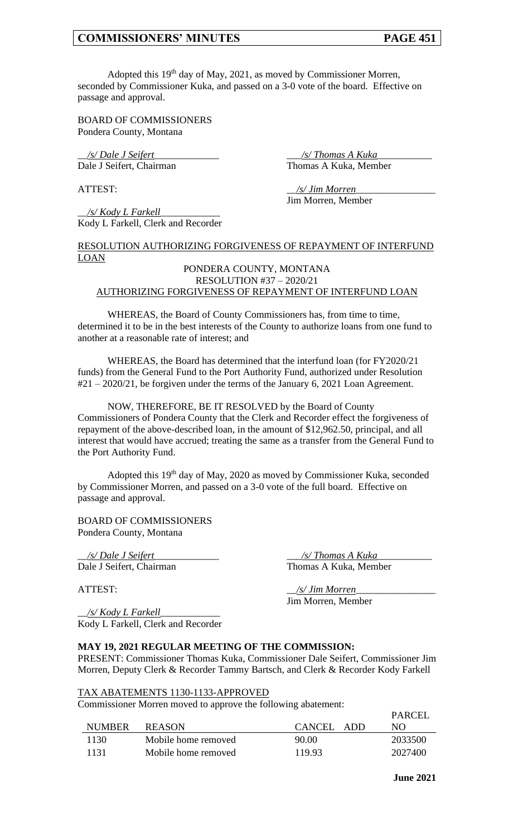Adopted this 19<sup>th</sup> day of May, 2021, as moved by Commissioner Morren, seconded by Commissioner Kuka, and passed on a 3-0 vote of the board. Effective on passage and approval.

BOARD OF COMMISSIONERS Pondera County, Montana

Dale J Seifert, Chairman

\_\_*/s/ Dale J Seifert*\_\_\_\_\_\_\_\_\_\_\_\_\_ \_\_\_*/s/ Thomas A Kuka*\_\_\_\_\_\_\_\_\_\_\_

\_\_*/s/ Kody L Farkell*\_\_\_\_\_\_\_\_\_\_\_\_ Kody L Farkell, Clerk and Recorder

ATTEST: \_\_*/s/ Jim Morren*\_\_\_\_\_\_\_\_\_\_\_\_\_\_\_\_ Jim Morren, Member

# RESOLUTION AUTHORIZING FORGIVENESS OF REPAYMENT OF INTERFUND LOAN

# PONDERA COUNTY, MONTANA RESOLUTION #37 – 2020/21 AUTHORIZING FORGIVENESS OF REPAYMENT OF INTERFUND LOAN

WHEREAS, the Board of County Commissioners has, from time to time, determined it to be in the best interests of the County to authorize loans from one fund to another at a reasonable rate of interest; and

WHEREAS, the Board has determined that the interfund loan (for FY2020/21 funds) from the General Fund to the Port Authority Fund, authorized under Resolution #21 – 2020/21, be forgiven under the terms of the January 6, 2021 Loan Agreement.

NOW, THEREFORE, BE IT RESOLVED by the Board of County Commissioners of Pondera County that the Clerk and Recorder effect the forgiveness of repayment of the above-described loan, in the amount of \$12,962.50, principal, and all interest that would have accrued; treating the same as a transfer from the General Fund to the Port Authority Fund.

Adopted this  $19<sup>th</sup>$  day of May, 2020 as moved by Commissioner Kuka, seconded by Commissioner Morren, and passed on a 3-0 vote of the full board. Effective on passage and approval.

BOARD OF COMMISSIONERS Pondera County, Montana

\_\_*/s/ Dale J Seifert*\_\_\_\_\_\_\_\_\_\_\_\_\_ \_\_\_*/s/ Thomas A Kuka*\_\_\_\_\_\_\_\_\_\_\_ Dale J Seifert, Chairman

ATTEST:  $\frac{1}{s}$  /s/ Jim Morren Jim Morren, Member

\_\_*/s/ Kody L Farkell*\_\_\_\_\_\_\_\_\_\_\_\_ Kody L Farkell, Clerk and Recorder

# **MAY 19, 2021 REGULAR MEETING OF THE COMMISSION:**

PRESENT: Commissioner Thomas Kuka, Commissioner Dale Seifert, Commissioner Jim Morren, Deputy Clerk & Recorder Tammy Bartsch, and Clerk & Recorder Kody Farkell

#### TAX ABATEMENTS 1130-1133-APPROVED

Commissioner Morren moved to approve the following abatement:

| <b>NUMBER</b> | <b>REASON</b>       | CANCEL ADD | <b>FANCEL</b><br>NO. |
|---------------|---------------------|------------|----------------------|
| -1130 -       | Mobile home removed | 90.00      | 2033500              |
| 1131          | Mobile home removed | 119.93     | 2027400              |

 $\overline{P}$ ADCEL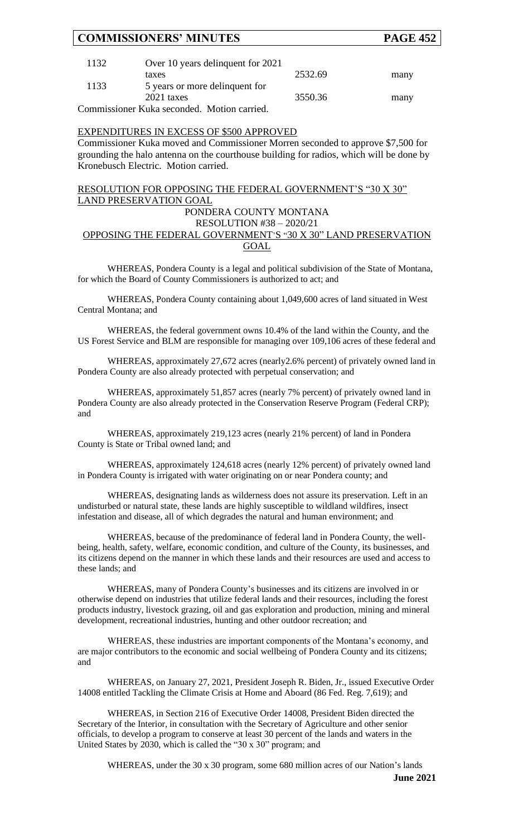| 1132 | Over 10 years delinquent for 2021           |         |      |
|------|---------------------------------------------|---------|------|
|      | taxes                                       | 2532.69 | many |
| 1133 | 5 years or more delinquent for              |         |      |
|      | 2021 taxes                                  | 3550.36 | many |
|      | Commissioner Kuka seconded. Motion carried. |         |      |

# EXPENDITURES IN EXCESS OF \$500 APPROVED

Commissioner Kuka moved and Commissioner Morren seconded to approve \$7,500 for grounding the halo antenna on the courthouse building for radios, which will be done by Kronebusch Electric. Motion carried.

# RESOLUTION FOR OPPOSING THE FEDERAL GOVERNMENT'S "30 X 30" LAND PRESERVATION GOAL

# PONDERA COUNTY MONTANA

## RESOLUTION #38 – 2020/21 OPPOSING THE FEDERAL GOVERNMENT'S "30 X 30" LAND PRESERVATION GOAL

WHEREAS, Pondera County is a legal and political subdivision of the State of Montana, for which the Board of County Commissioners is authorized to act; and

WHEREAS, Pondera County containing about 1,049,600 acres of land situated in West Central Montana; and

WHEREAS, the federal government owns 10.4% of the land within the County, and the US Forest Service and BLM are responsible for managing over 109,106 acres of these federal and

WHEREAS, approximately 27,672 acres (nearly2.6% percent) of privately owned land in Pondera County are also already protected with perpetual conservation; and

WHEREAS, approximately 51,857 acres (nearly 7% percent) of privately owned land in Pondera County are also already protected in the Conservation Reserve Program (Federal CRP); and

WHEREAS, approximately 219,123 acres (nearly 21% percent) of land in Pondera County is State or Tribal owned land; and

WHEREAS, approximately 124,618 acres (nearly 12% percent) of privately owned land in Pondera County is irrigated with water originating on or near Pondera county; and

WHEREAS, designating lands as wilderness does not assure its preservation. Left in an undisturbed or natural state, these lands are highly susceptible to wildland wildfires, insect infestation and disease, all of which degrades the natural and human environment; and

WHEREAS, because of the predominance of federal land in Pondera County, the wellbeing, health, safety, welfare, economic condition, and culture of the County, its businesses, and its citizens depend on the manner in which these lands and their resources are used and access to these lands; and

WHEREAS, many of Pondera County's businesses and its citizens are involved in or otherwise depend on industries that utilize federal lands and their resources, including the forest products industry, livestock grazing, oil and gas exploration and production, mining and mineral development, recreational industries, hunting and other outdoor recreation; and

WHEREAS, these industries are important components of the Montana's economy, and are major contributors to the economic and social wellbeing of Pondera County and its citizens; and

WHEREAS, on January 27, 2021, President Joseph R. Biden, Jr., issued Executive Order 14008 entitled Tackling the Climate Crisis at Home and Aboard (86 Fed. Reg. 7,619); and

WHEREAS, in Section 216 of Executive Order 14008, President Biden directed the Secretary of the Interior, in consultation with the Secretary of Agriculture and other senior officials, to develop a program to conserve at least 30 percent of the lands and waters in the United States by  $2030$ , which is called the "30 x 30" program; and

**June 2021** WHEREAS, under the 30 x 30 program, some 680 million acres of our Nation's lands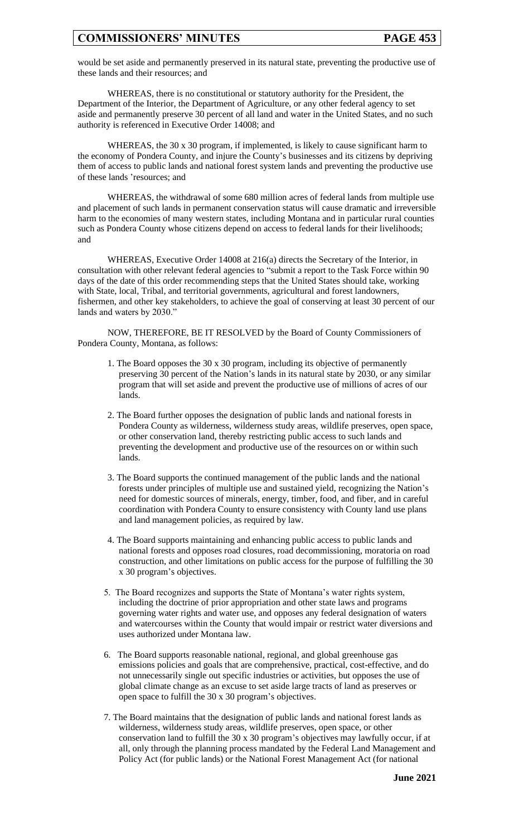would be set aside and permanently preserved in its natural state, preventing the productive use of these lands and their resources; and

WHEREAS, there is no constitutional or statutory authority for the President, the Department of the Interior, the Department of Agriculture, or any other federal agency to set aside and permanently preserve 30 percent of all land and water in the United States, and no such authority is referenced in Executive Order 14008; and

WHEREAS, the 30 x 30 program, if implemented, is likely to cause significant harm to the economy of Pondera County, and injure the County's businesses and its citizens by depriving them of access to public lands and national forest system lands and preventing the productive use of these lands 'resources; and

WHEREAS, the withdrawal of some 680 million acres of federal lands from multiple use and placement of such lands in permanent conservation status will cause dramatic and irreversible harm to the economies of many western states, including Montana and in particular rural counties such as Pondera County whose citizens depend on access to federal lands for their livelihoods; and

WHEREAS, Executive Order 14008 at 216(a) directs the Secretary of the Interior, in consultation with other relevant federal agencies to "submit a report to the Task Force within 90 days of the date of this order recommending steps that the United States should take, working with State, local, Tribal, and territorial governments, agricultural and forest landowners, fishermen, and other key stakeholders, to achieve the goal of conserving at least 30 percent of our lands and waters by 2030."

NOW, THEREFORE, BE IT RESOLVED by the Board of County Commissioners of Pondera County, Montana, as follows:

- 1. The Board opposes the 30 x 30 program, including its objective of permanently preserving 30 percent of the Nation's lands in its natural state by 2030, or any similar program that will set aside and prevent the productive use of millions of acres of our lands.
- 2. The Board further opposes the designation of public lands and national forests in Pondera County as wilderness, wilderness study areas, wildlife preserves, open space, or other conservation land, thereby restricting public access to such lands and preventing the development and productive use of the resources on or within such lands.
- 3. The Board supports the continued management of the public lands and the national forests under principles of multiple use and sustained yield, recognizing the Nation's need for domestic sources of minerals, energy, timber, food, and fiber, and in careful coordination with Pondera County to ensure consistency with County land use plans and land management policies, as required by law.
- 4. The Board supports maintaining and enhancing public access to public lands and national forests and opposes road closures, road decommissioning, moratoria on road construction, and other limitations on public access for the purpose of fulfilling the 30 x 30 program's objectives.
- 5. The Board recognizes and supports the State of Montana's water rights system, including the doctrine of prior appropriation and other state laws and programs governing water rights and water use, and opposes any federal designation of waters and watercourses within the County that would impair or restrict water diversions and uses authorized under Montana law.
- 6. The Board supports reasonable national, regional, and global greenhouse gas emissions policies and goals that are comprehensive, practical, cost-effective, and do not unnecessarily single out specific industries or activities, but opposes the use of global climate change as an excuse to set aside large tracts of land as preserves or open space to fulfill the 30 x 30 program's objectives.
- 7. The Board maintains that the designation of public lands and national forest lands as wilderness, wilderness study areas, wildlife preserves, open space, or other conservation land to fulfill the 30 x 30 program's objectives may lawfully occur, if at all, only through the planning process mandated by the Federal Land Management and Policy Act (for public lands) or the National Forest Management Act (for national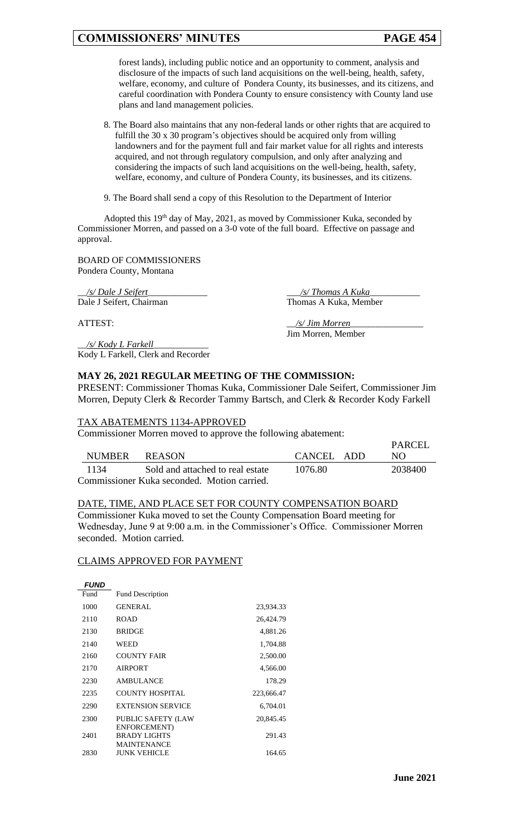forest lands), including public notice and an opportunity to comment, analysis and disclosure of the impacts of such land acquisitions on the well-being, health, safety, welfare, economy, and culture of Pondera County, its businesses, and its citizens, and careful coordination with Pondera County to ensure consistency with County land use plans and land management policies.

- 8. The Board also maintains that any non-federal lands or other rights that are acquired to fulfill the 30 x 30 program's objectives should be acquired only from willing landowners and for the payment full and fair market value for all rights and interests acquired, and not through regulatory compulsion, and only after analyzing and considering the impacts of such land acquisitions on the well-being, health, safety, welfare, economy, and culture of Pondera County, its businesses, and its citizens.
- 9. The Board shall send a copy of this Resolution to the Department of Interior

Adopted this 19<sup>th</sup> day of May, 2021, as moved by Commissioner Kuka, seconded by Commissioner Morren, and passed on a 3-0 vote of the full board. Effective on passage and approval.

BOARD OF COMMISSIONERS Pondera County, Montana

\_\_*/s/ Dale J Seifert*\_\_\_\_\_\_\_\_\_\_\_\_\_ \_\_\_*/s/ Thomas A Kuka*\_\_\_\_\_\_\_\_\_\_\_ Dale J Seifert, Chairman Thomas A Kuka, Member

\_\_*/s/ Kody L Farkell*\_\_\_\_\_\_\_\_\_\_\_\_ Kody L Farkell, Clerk and Recorder

ATTEST:  $\frac{1}{s}$  *\_/s/ Jim Morren*\_ Jim Morren, Member

# **MAY 26, 2021 REGULAR MEETING OF THE COMMISSION:**

PRESENT: Commissioner Thomas Kuka, Commissioner Dale Seifert, Commissioner Jim Morren, Deputy Clerk & Recorder Tammy Bartsch, and Clerk & Recorder Kody Farkell

#### TAX ABATEMENTS 1134-APPROVED

Commissioner Morren moved to approve the following abatement:

| NUMBER                                      | REASON                           | CANCEL ADD | PARCEL<br>NO. |  |  |
|---------------------------------------------|----------------------------------|------------|---------------|--|--|
| 1134                                        | Sold and attached to real estate | 1076.80    | 2038400       |  |  |
| Commissioner Kuka seconded. Motion carried. |                                  |            |               |  |  |

#### DATE, TIME, AND PLACE SET FOR COUNTY COMPENSATION BOARD

Commissioner Kuka moved to set the County Compensation Board meeting for Wednesday, June 9 at 9:00 a.m. in the Commissioner's Office. Commissioner Morren seconded. Motion carried.

#### CLAIMS APPROVED FOR PAYMENT

| <b>FUND</b> |                                                           |            |
|-------------|-----------------------------------------------------------|------------|
| Fund        | <b>Fund Description</b>                                   |            |
| 1000        | <b>GENERAL</b>                                            | 23,934.33  |
| 2110        | <b>ROAD</b>                                               | 26,424.79  |
| 2130        | <b>BRIDGE</b>                                             | 4,881.26   |
| 2140        | WEED                                                      | 1,704.88   |
| 2160        | <b>COUNTY FAIR</b>                                        | 2,500.00   |
| 2170        | <b>AIRPORT</b>                                            | 4,566.00   |
| 2230        | <b>AMBULANCE</b>                                          | 178.29     |
| 2235        | COUNTY HOSPITAL                                           | 223,666.47 |
| 2290        | <b>EXTENSION SERVICE</b>                                  | 6,704.01   |
| 2300        | <b>PUBLIC SAFETY (LAW</b>                                 | 20,845.45  |
| 2401        | ENFORCEMENT)<br><b>BRADY LIGHTS</b><br><b>MAINTENANCE</b> | 291.43     |
| 2830        | JUNK VEHICLE                                              | 164.65     |